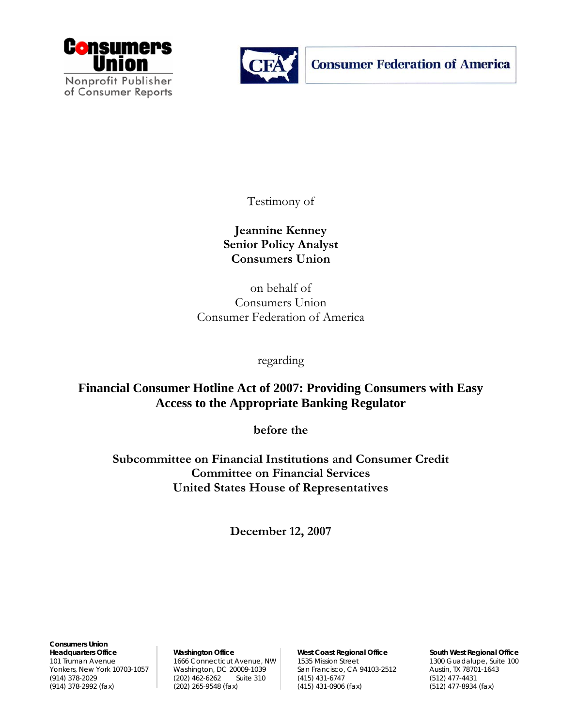



**Consumer Federation of America** 

Testimony of

**Jeannine Kenney Senior Policy Analyst Consumers Union** 

on behalf of Consumers Union Consumer Federation of America

regarding

**Financial Consumer Hotline Act of 2007: Providing Consumers with Easy Access to the Appropriate Banking Regulator** 

**before the** 

**Subcommittee on Financial Institutions and Consumer Credit Committee on Financial Services United States House of Representatives** 

**December 12, 2007** 

**Consumers Union**  Headquarters Office **Washington Office West Coast Regional Office** South West Regional Office

101 Truman Avenue 1666 Connecticut Avenue, NW 1535 Mission Street 1300 Guadalupe, Suite 100 Yonkers, New York 10703-1057 Washington, DC 20009-1039 San Francisco, CA 94103-2512 Austin, TX 78701-1643 (914) 378-2029 (612) 462-6262 Suite 310 (415) 431-6747 (512) 477-4431 (914) 378-2029 (52) 477-4431 (202) 265-9548 (fax) (415) 431-0906 (fax) (512) 477-8934 (fax)  $(202)$  265-9548 (fax)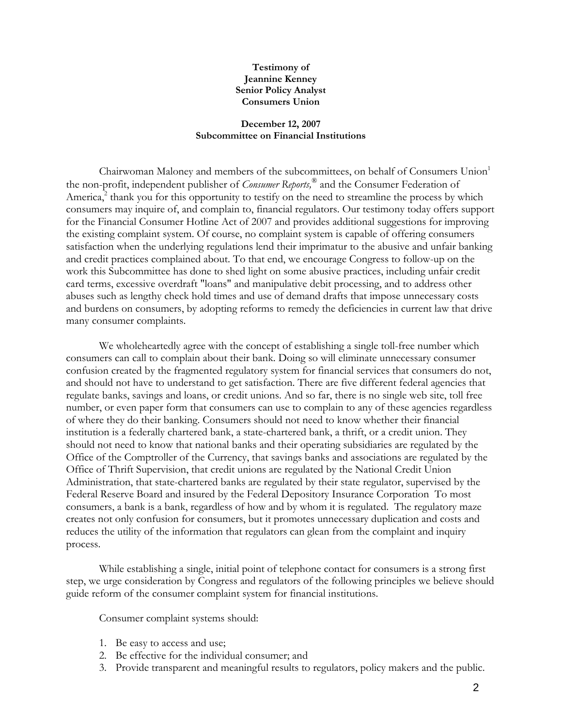# **Testimony of Jeannine Kenney Senior Policy Analyst Consumers Union**

# **December 12, 2007 Subcommittee on Financial Institutions**

Chairwoman Maloney and members of the subcommittees, on behalf of Consumers Union<sup>1</sup> the non-profit, independent publisher of *Consumer Reports,*® and the Consumer Federation of America,<sup>2</sup> thank you for this opportunity to testify on the need to streamline the process by which consumers may inquire of, and complain to, financial regulators. Our testimony today offers support for the Financial Consumer Hotline Act of 2007 and provides additional suggestions for improving the existing complaint system. Of course, no complaint system is capable of offering consumers satisfaction when the underlying regulations lend their imprimatur to the abusive and unfair banking and credit practices complained about. To that end, we encourage Congress to follow-up on the work this Subcommittee has done to shed light on some abusive practices, including unfair credit card terms, excessive overdraft "loans" and manipulative debit processing, and to address other abuses such as lengthy check hold times and use of demand drafts that impose unnecessary costs and burdens on consumers, by adopting reforms to remedy the deficiencies in current law that drive many consumer complaints.

We wholeheartedly agree with the concept of establishing a single toll-free number which consumers can call to complain about their bank. Doing so will eliminate unnecessary consumer confusion created by the fragmented regulatory system for financial services that consumers do not, and should not have to understand to get satisfaction. There are five different federal agencies that regulate banks, savings and loans, or credit unions. And so far, there is no single web site, toll free number, or even paper form that consumers can use to complain to any of these agencies regardless of where they do their banking. Consumers should not need to know whether their financial institution is a federally chartered bank, a state-chartered bank, a thrift, or a credit union. They should not need to know that national banks and their operating subsidiaries are regulated by the Office of the Comptroller of the Currency, that savings banks and associations are regulated by the Office of Thrift Supervision, that credit unions are regulated by the National Credit Union Administration, that state-chartered banks are regulated by their state regulator, supervised by the Federal Reserve Board and insured by the Federal Depository Insurance Corporation To most consumers, a bank is a bank, regardless of how and by whom it is regulated. The regulatory maze creates not only confusion for consumers, but it promotes unnecessary duplication and costs and reduces the utility of the information that regulators can glean from the complaint and inquiry process.

While establishing a single, initial point of telephone contact for consumers is a strong first step, we urge consideration by Congress and regulators of the following principles we believe should guide reform of the consumer complaint system for financial institutions.

Consumer complaint systems should:

- 1. Be easy to access and use;
- 2. Be effective for the individual consumer; and
- 3. Provide transparent and meaningful results to regulators, policy makers and the public.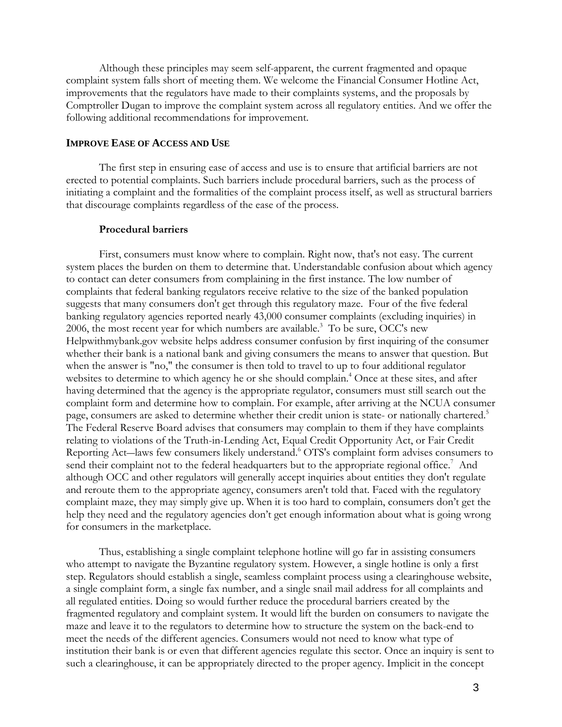Although these principles may seem self-apparent, the current fragmented and opaque complaint system falls short of meeting them. We welcome the Financial Consumer Hotline Act, improvements that the regulators have made to their complaints systems, and the proposals by Comptroller Dugan to improve the complaint system across all regulatory entities. And we offer the following additional recommendations for improvement.

### **IMPROVE EASE OF ACCESS AND USE**

The first step in ensuring ease of access and use is to ensure that artificial barriers are not erected to potential complaints. Such barriers include procedural barriers, such as the process of initiating a complaint and the formalities of the complaint process itself, as well as structural barriers that discourage complaints regardless of the ease of the process.

# **Procedural barriers**

First, consumers must know where to complain. Right now, that's not easy. The current system places the burden on them to determine that. Understandable confusion about which agency to contact can deter consumers from complaining in the first instance. The low number of complaints that federal banking regulators receive relative to the size of the banked population suggests that many consumers don't get through this regulatory maze. Four of the five federal banking regulatory agencies reported nearly 43,000 consumer complaints (excluding inquiries) in 2006, the most recent year for which numbers are available. $3$  To be sure, OCC's new Helpwithmybank.gov website helps address consumer confusion by first inquiring of the consumer whether their bank is a national bank and giving consumers the means to answer that question. But when the answer is "no," the consumer is then told to travel to up to four additional regulator websites to determine to which agency he or she should complain.<sup>4</sup> Once at these sites, and after having determined that the agency is the appropriate regulator, consumers must still search out the complaint form and determine how to complain. For example, after arriving at the NCUA consumer page, consumers are asked to determine whether their credit union is state- or nationally chartered.<sup>5</sup> The Federal Reserve Board advises that consumers may complain to them if they have complaints relating to violations of the Truth-in-Lending Act, Equal Credit Opportunity Act, or Fair Credit Reporting Act-laws few consumers likely understand.<sup>6</sup> OTS's complaint form advises consumers to send their complaint not to the federal headquarters but to the appropriate regional office.<sup>7</sup> And although OCC and other regulators will generally accept inquiries about entities they don't regulate and reroute them to the appropriate agency, consumers aren't told that. Faced with the regulatory complaint maze, they may simply give up. When it is too hard to complain, consumers don't get the help they need and the regulatory agencies don't get enough information about what is going wrong for consumers in the marketplace.

Thus, establishing a single complaint telephone hotline will go far in assisting consumers who attempt to navigate the Byzantine regulatory system. However, a single hotline is only a first step. Regulators should establish a single, seamless complaint process using a clearinghouse website, a single complaint form, a single fax number, and a single snail mail address for all complaints and all regulated entities. Doing so would further reduce the procedural barriers created by the fragmented regulatory and complaint system. It would lift the burden on consumers to navigate the maze and leave it to the regulators to determine how to structure the system on the back-end to meet the needs of the different agencies. Consumers would not need to know what type of institution their bank is or even that different agencies regulate this sector. Once an inquiry is sent to such a clearinghouse, it can be appropriately directed to the proper agency. Implicit in the concept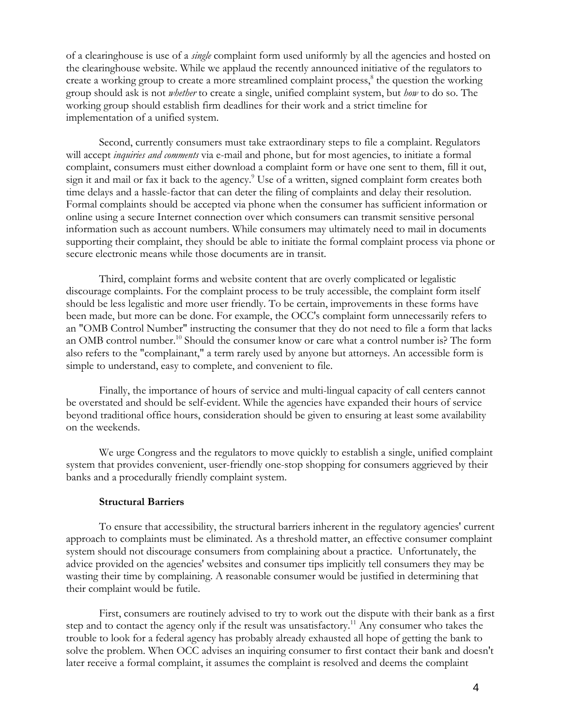of a clearinghouse is use of a *single* complaint form used uniformly by all the agencies and hosted on the clearinghouse website. While we applaud the recently announced initiative of the regulators to create a working group to create a more streamlined complaint process,<sup>8</sup> the question the working group should ask is not *whether* to create a single, unified complaint system, but *how* to do so. The working group should establish firm deadlines for their work and a strict timeline for implementation of a unified system.

Second, currently consumers must take extraordinary steps to file a complaint. Regulators will accept *inquiries and comments* via e-mail and phone, but for most agencies, to initiate a formal complaint, consumers must either download a complaint form or have one sent to them, fill it out, sign it and mail or fax it back to the agency.<sup>9</sup> Use of a written, signed complaint form creates both time delays and a hassle-factor that can deter the filing of complaints and delay their resolution. Formal complaints should be accepted via phone when the consumer has sufficient information or online using a secure Internet connection over which consumers can transmit sensitive personal information such as account numbers. While consumers may ultimately need to mail in documents supporting their complaint, they should be able to initiate the formal complaint process via phone or secure electronic means while those documents are in transit.

Third, complaint forms and website content that are overly complicated or legalistic discourage complaints. For the complaint process to be truly accessible, the complaint form itself should be less legalistic and more user friendly. To be certain, improvements in these forms have been made, but more can be done. For example, the OCC's complaint form unnecessarily refers to an "OMB Control Number" instructing the consumer that they do not need to file a form that lacks an OMB control number.<sup>10</sup> Should the consumer know or care what a control number is? The form also refers to the "complainant," a term rarely used by anyone but attorneys. An accessible form is simple to understand, easy to complete, and convenient to file.

Finally, the importance of hours of service and multi-lingual capacity of call centers cannot be overstated and should be self-evident. While the agencies have expanded their hours of service beyond traditional office hours, consideration should be given to ensuring at least some availability on the weekends.

We urge Congress and the regulators to move quickly to establish a single, unified complaint system that provides convenient, user-friendly one-stop shopping for consumers aggrieved by their banks and a procedurally friendly complaint system.

### **Structural Barriers**

To ensure that accessibility, the structural barriers inherent in the regulatory agencies' current approach to complaints must be eliminated. As a threshold matter, an effective consumer complaint system should not discourage consumers from complaining about a practice. Unfortunately, the advice provided on the agencies' websites and consumer tips implicitly tell consumers they may be wasting their time by complaining. A reasonable consumer would be justified in determining that their complaint would be futile.

First, consumers are routinely advised to try to work out the dispute with their bank as a first step and to contact the agency only if the result was unsatisfactory.<sup>11</sup> Any consumer who takes the trouble to look for a federal agency has probably already exhausted all hope of getting the bank to solve the problem. When OCC advises an inquiring consumer to first contact their bank and doesn't later receive a formal complaint, it assumes the complaint is resolved and deems the complaint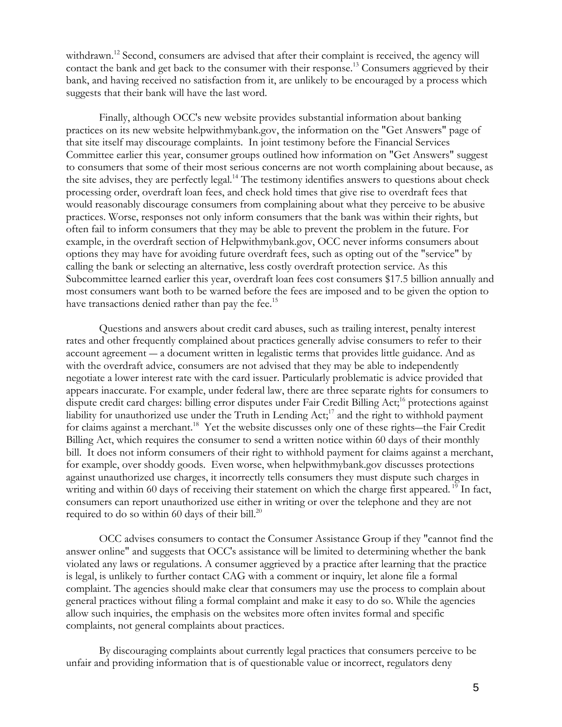withdrawn.<sup>12</sup> Second, consumers are advised that after their complaint is received, the agency will contact the bank and get back to the consumer with their response.<sup>13</sup> Consumers aggrieved by their bank, and having received no satisfaction from it, are unlikely to be encouraged by a process which suggests that their bank will have the last word.

Finally, although OCC's new website provides substantial information about banking practices on its new website helpwithmybank.gov, the information on the "Get Answers" page of that site itself may discourage complaints. In joint testimony before the Financial Services Committee earlier this year, consumer groups outlined how information on "Get Answers" suggest to consumers that some of their most serious concerns are not worth complaining about because, as the site advises, they are perfectly legal.<sup>14</sup> The testimony identifies answers to questions about check processing order, overdraft loan fees, and check hold times that give rise to overdraft fees that would reasonably discourage consumers from complaining about what they perceive to be abusive practices. Worse, responses not only inform consumers that the bank was within their rights, but often fail to inform consumers that they may be able to prevent the problem in the future. For example, in the overdraft section of Helpwithmybank.gov, OCC never informs consumers about options they may have for avoiding future overdraft fees, such as opting out of the "service" by calling the bank or selecting an alternative, less costly overdraft protection service. As this Subcommittee learned earlier this year, overdraft loan fees cost consumers \$17.5 billion annually and most consumers want both to be warned before the fees are imposed and to be given the option to have transactions denied rather than pay the fee.<sup>15</sup>

Questions and answers about credit card abuses, such as trailing interest, penalty interest rates and other frequently complained about practices generally advise consumers to refer to their account agreement ― a document written in legalistic terms that provides little guidance. And as with the overdraft advice, consumers are not advised that they may be able to independently negotiate a lower interest rate with the card issuer. Particularly problematic is advice provided that appears inaccurate. For example, under federal law, there are three separate rights for consumers to dispute credit card charges: billing error disputes under Fair Credit Billing Act;<sup>16</sup> protections against liability for unauthorized use under the Truth in Lending  $Act$ ;<sup>17</sup> and the right to withhold payment for claims against a merchant.<sup>18</sup> Yet the website discusses only one of these rights—the Fair Credit Billing Act, which requires the consumer to send a written notice within 60 days of their monthly bill. It does not inform consumers of their right to withhold payment for claims against a merchant, for example, over shoddy goods. Even worse, when helpwithmybank.gov discusses protections against unauthorized use charges, it incorrectly tells consumers they must dispute such charges in writing and within 60 days of receiving their statement on which the charge first appeared.<sup>19</sup> In fact, consumers can report unauthorized use either in writing or over the telephone and they are not required to do so within 60 days of their bill. $^{20}$ 

OCC advises consumers to contact the Consumer Assistance Group if they "cannot find the answer online" and suggests that OCC's assistance will be limited to determining whether the bank violated any laws or regulations. A consumer aggrieved by a practice after learning that the practice is legal, is unlikely to further contact CAG with a comment or inquiry, let alone file a formal complaint. The agencies should make clear that consumers may use the process to complain about general practices without filing a formal complaint and make it easy to do so. While the agencies allow such inquiries, the emphasis on the websites more often invites formal and specific complaints, not general complaints about practices.

By discouraging complaints about currently legal practices that consumers perceive to be unfair and providing information that is of questionable value or incorrect, regulators deny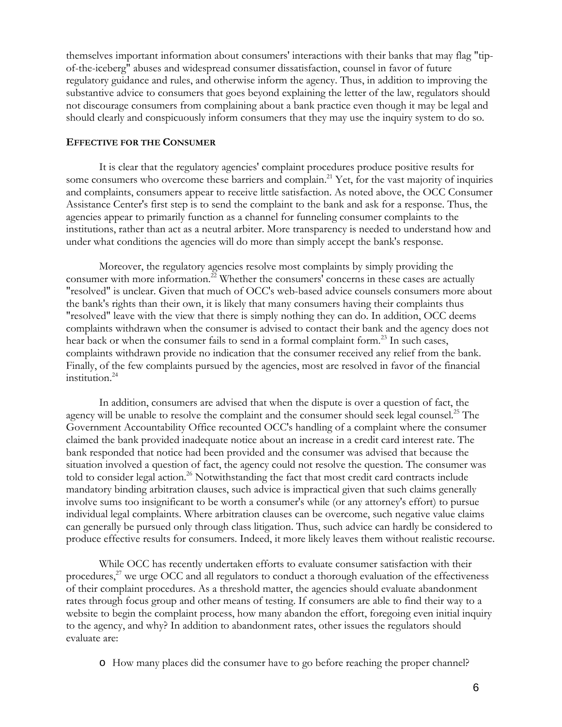themselves important information about consumers' interactions with their banks that may flag "tipof-the-iceberg" abuses and widespread consumer dissatisfaction, counsel in favor of future regulatory guidance and rules, and otherwise inform the agency. Thus, in addition to improving the substantive advice to consumers that goes beyond explaining the letter of the law, regulators should not discourage consumers from complaining about a bank practice even though it may be legal and should clearly and conspicuously inform consumers that they may use the inquiry system to do so.

#### **EFFECTIVE FOR THE CONSUMER**

 It is clear that the regulatory agencies' complaint procedures produce positive results for some consumers who overcome these barriers and complain.<sup>21</sup> Yet, for the vast majority of inquiries and complaints, consumers appear to receive little satisfaction. As noted above, the OCC Consumer Assistance Center's first step is to send the complaint to the bank and ask for a response. Thus, the agencies appear to primarily function as a channel for funneling consumer complaints to the institutions, rather than act as a neutral arbiter. More transparency is needed to understand how and under what conditions the agencies will do more than simply accept the bank's response.

 Moreover, the regulatory agencies resolve most complaints by simply providing the consumer with more information.<sup>22</sup> Whether the consumers' concerns in these cases are actually "resolved" is unclear. Given that much of OCC's web-based advice counsels consumers more about the bank's rights than their own, it is likely that many consumers having their complaints thus "resolved" leave with the view that there is simply nothing they can do. In addition, OCC deems complaints withdrawn when the consumer is advised to contact their bank and the agency does not hear back or when the consumer fails to send in a formal complaint form.<sup>23</sup> In such cases, complaints withdrawn provide no indication that the consumer received any relief from the bank. Finally, of the few complaints pursued by the agencies, most are resolved in favor of the financial institution.<sup>24</sup>

In addition, consumers are advised that when the dispute is over a question of fact, the agency will be unable to resolve the complaint and the consumer should seek legal counsel.<sup>25</sup> The Government Accountability Office recounted OCC's handling of a complaint where the consumer claimed the bank provided inadequate notice about an increase in a credit card interest rate. The bank responded that notice had been provided and the consumer was advised that because the situation involved a question of fact, the agency could not resolve the question. The consumer was told to consider legal action.<sup>26</sup> Notwithstanding the fact that most credit card contracts include mandatory binding arbitration clauses, such advice is impractical given that such claims generally involve sums too insignificant to be worth a consumer's while (or any attorney's effort) to pursue individual legal complaints. Where arbitration clauses can be overcome, such negative value claims can generally be pursued only through class litigation. Thus, such advice can hardly be considered to produce effective results for consumers. Indeed, it more likely leaves them without realistic recourse.

 While OCC has recently undertaken efforts to evaluate consumer satisfaction with their procedures, $^{27}$  we urge OCC and all regulators to conduct a thorough evaluation of the effectiveness of their complaint procedures. As a threshold matter, the agencies should evaluate abandonment rates through focus group and other means of testing. If consumers are able to find their way to a website to begin the complaint process, how many abandon the effort, foregoing even initial inquiry to the agency, and why? In addition to abandonment rates, other issues the regulators should evaluate are:

o How many places did the consumer have to go before reaching the proper channel?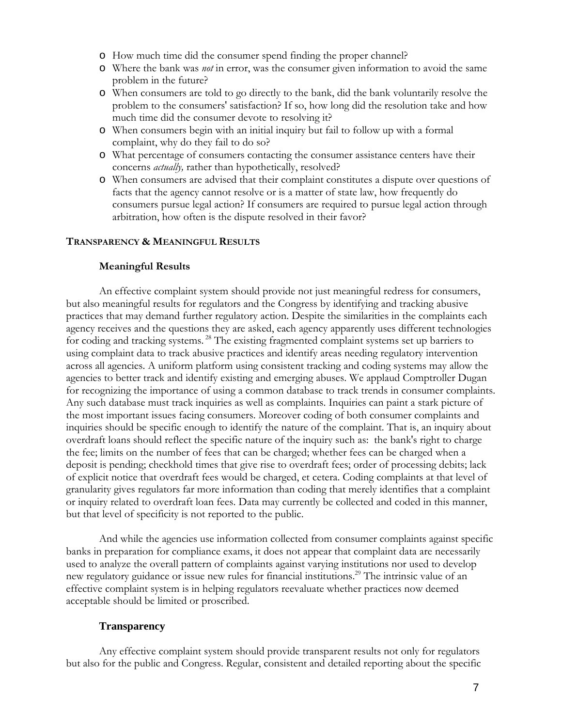- o How much time did the consumer spend finding the proper channel?
- o Where the bank was *not* in error, was the consumer given information to avoid the same problem in the future?
- o When consumers are told to go directly to the bank, did the bank voluntarily resolve the problem to the consumers' satisfaction? If so, how long did the resolution take and how much time did the consumer devote to resolving it?
- o When consumers begin with an initial inquiry but fail to follow up with a formal complaint, why do they fail to do so?
- o What percentage of consumers contacting the consumer assistance centers have their concerns *actually,* rather than hypothetically, resolved?
- o When consumers are advised that their complaint constitutes a dispute over questions of facts that the agency cannot resolve or is a matter of state law, how frequently do consumers pursue legal action? If consumers are required to pursue legal action through arbitration, how often is the dispute resolved in their favor?

# **TRANSPARENCY & MEANINGFUL RESULTS**

# **Meaningful Results**

An effective complaint system should provide not just meaningful redress for consumers, but also meaningful results for regulators and the Congress by identifying and tracking abusive practices that may demand further regulatory action. Despite the similarities in the complaints each agency receives and the questions they are asked, each agency apparently uses different technologies for coding and tracking systems. 28 The existing fragmented complaint systems set up barriers to using complaint data to track abusive practices and identify areas needing regulatory intervention across all agencies. A uniform platform using consistent tracking and coding systems may allow the agencies to better track and identify existing and emerging abuses. We applaud Comptroller Dugan for recognizing the importance of using a common database to track trends in consumer complaints. Any such database must track inquiries as well as complaints. Inquiries can paint a stark picture of the most important issues facing consumers. Moreover coding of both consumer complaints and inquiries should be specific enough to identify the nature of the complaint. That is, an inquiry about overdraft loans should reflect the specific nature of the inquiry such as: the bank's right to charge the fee; limits on the number of fees that can be charged; whether fees can be charged when a deposit is pending; checkhold times that give rise to overdraft fees; order of processing debits; lack of explicit notice that overdraft fees would be charged, et cetera. Coding complaints at that level of granularity gives regulators far more information than coding that merely identifies that a complaint or inquiry related to overdraft loan fees. Data may currently be collected and coded in this manner, but that level of specificity is not reported to the public.

And while the agencies use information collected from consumer complaints against specific banks in preparation for compliance exams, it does not appear that complaint data are necessarily used to analyze the overall pattern of complaints against varying institutions nor used to develop new regulatory guidance or issue new rules for financial institutions.<sup>29</sup> The intrinsic value of an effective complaint system is in helping regulators reevaluate whether practices now deemed acceptable should be limited or proscribed.

# **Transparency**

Any effective complaint system should provide transparent results not only for regulators but also for the public and Congress. Regular, consistent and detailed reporting about the specific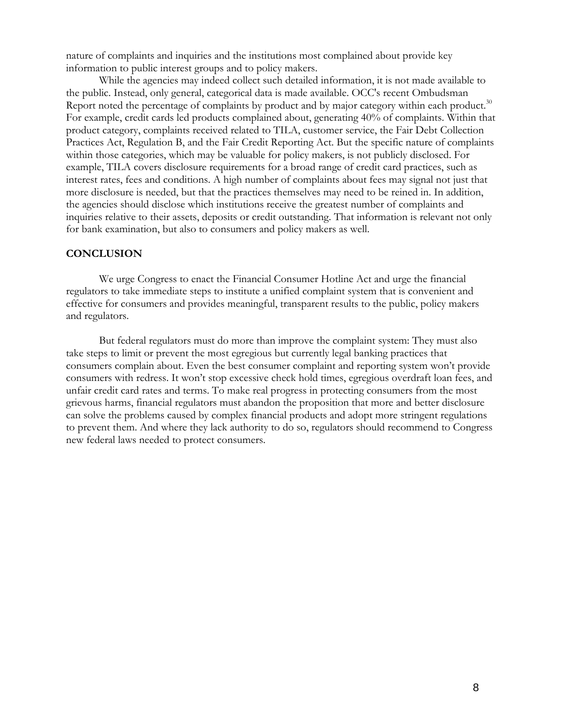nature of complaints and inquiries and the institutions most complained about provide key information to public interest groups and to policy makers.

 While the agencies may indeed collect such detailed information, it is not made available to the public. Instead, only general, categorical data is made available. OCC's recent Ombudsman Report noted the percentage of complaints by product and by major category within each product.<sup>30</sup> For example, credit cards led products complained about, generating 40% of complaints. Within that product category, complaints received related to TILA, customer service, the Fair Debt Collection Practices Act, Regulation B, and the Fair Credit Reporting Act. But the specific nature of complaints within those categories, which may be valuable for policy makers, is not publicly disclosed. For example, TILA covers disclosure requirements for a broad range of credit card practices, such as interest rates, fees and conditions. A high number of complaints about fees may signal not just that more disclosure is needed, but that the practices themselves may need to be reined in. In addition, the agencies should disclose which institutions receive the greatest number of complaints and inquiries relative to their assets, deposits or credit outstanding. That information is relevant not only for bank examination, but also to consumers and policy makers as well.

### **CONCLUSION**

 We urge Congress to enact the Financial Consumer Hotline Act and urge the financial regulators to take immediate steps to institute a unified complaint system that is convenient and effective for consumers and provides meaningful, transparent results to the public, policy makers and regulators.

 But federal regulators must do more than improve the complaint system: They must also take steps to limit or prevent the most egregious but currently legal banking practices that consumers complain about. Even the best consumer complaint and reporting system won't provide consumers with redress. It won't stop excessive check hold times, egregious overdraft loan fees, and unfair credit card rates and terms. To make real progress in protecting consumers from the most grievous harms, financial regulators must abandon the proposition that more and better disclosure can solve the problems caused by complex financial products and adopt more stringent regulations to prevent them. And where they lack authority to do so, regulators should recommend to Congress new federal laws needed to protect consumers.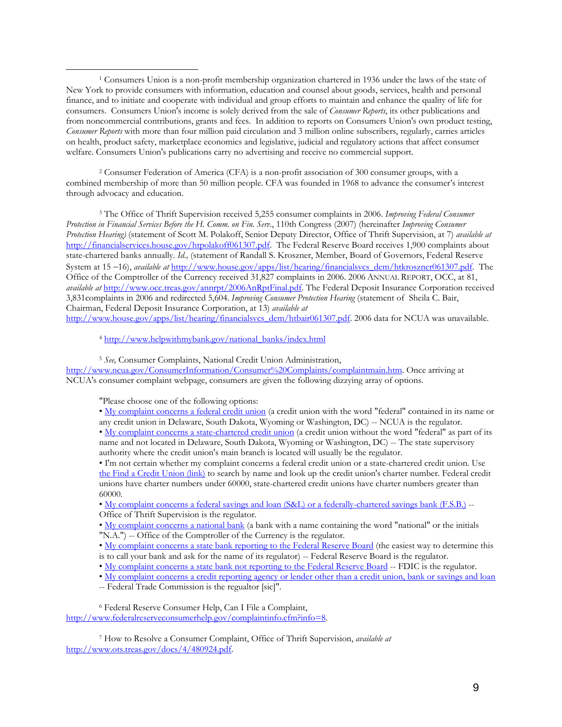1 Consumers Union is a non-profit membership organization chartered in 1936 under the laws of the state of New York to provide consumers with information, education and counsel about goods, services, health and personal finance, and to initiate and cooperate with individual and group efforts to maintain and enhance the quality of life for consumers. Consumers Union's income is solely derived from the sale of *Consumer Reports*, its other publications and from noncommercial contributions, grants and fees. In addition to reports on Consumers Union's own product testing, *Consumer Reports* with more than four million paid circulation and 3 million online subscribers, regularly, carries articles on health, product safety, marketplace economics and legislative, judicial and regulatory actions that affect consumer welfare. Consumers Union's publications carry no advertising and receive no commercial support.

 2 Consumer Federation of America (CFA) is a non-profit association of 300 consumer groups, with a combined membership of more than 50 million people. CFA was founded in 1968 to advance the consumer's interest through advocacy and education.

3 The Office of Thrift Supervision received 5,255 consumer complaints in 2006. *Improving Federal Consumer Protection in Financial Services Before the H. Comm. on Fin. Serv.*, 110th Congress (2007) (hereinafter *Improving Consumer Protection Hearing)* (statement of Scott M. Polakoff, Senior Deputy Director, Office of Thrift Supervision, at 7) *available at*  http://financialservices.house.gov/htpolakoff061307.pdf. The Federal Reserve Board receives 1,900 complaints about state-chartered banks annually. *Id.,* (statement of Randall S. Kroszner, Member, Board of Governors, Federal Reserve System at 15 −16), *available at* http://www.house.gov/apps/list/hearing/financialsvcs\_dem/htkroszner061307.pdf. The Office of the Comptroller of the Currency received 31,827 complaints in 2006. 2006 ANNUAL REPORT, OCC, at 81, *available at* http://www.occ.treas.gov/annrpt/2006AnRptFinal.pdf. The Federal Deposit Insurance Corporation received 3,831complaints in 2006 and redirected 5,604. *Improving Consumer Protection Hearing* (statement of Sheila C. Bair, Chairman, Federal Deposit Insurance Corporation, at 13) *available at*  http://www.house.gov/apps/list/hearing/financialsvcs\_dem/htbair061307.pdf. 2006 data for NCUA was unavailable.

<sup>4</sup> http://www.helpwithmybank.gov/national\_banks/index.html

<sup>5</sup> *See,* Consumer Complaints, National Credit Union Administration,

http://www.ncua.gov/ConsumerInformation/Consumer%20Complaints/complaintmain.htm. Once arriving at NCUA's consumer complaint webpage, consumers are given the following dizzying array of options.

"Please choose one of the following options:

 $\overline{a}$ 

• My complaint concerns a federal credit union (a credit union with the word "federal" contained in its name or any credit union in Delaware, South Dakota, Wyoming or Washington, DC) -- NCUA is the regulator.

• My complaint concerns a state-chartered credit union (a credit union without the word "federal" as part of its name and not located in Delaware, South Dakota, Wyoming or Washington, DC) -- The state supervisory authority where the credit union's main branch is located will usually be the regulator.

• I'm not certain whether my complaint concerns a federal credit union or a state-chartered credit union. Use the Find a Credit Union (link) to search by name and look up the credit union's charter number. Federal credit unions have charter numbers under 60000, state-chartered credit unions have charter numbers greater than 60000.

• My complaint concerns a federal savings and loan (S&L) or a federally-chartered savings bank (F.S.B.) -- Office of Thrift Supervision is the regulator.

• My complaint concerns a national bank (a bank with a name containing the word "national" or the initials "N.A.") -- Office of the Comptroller of the Currency is the regulator.

• My complaint concerns a state bank reporting to the Federal Reserve Board (the easiest way to determine this is to call your bank and ask for the name of its regulator) -- Federal Reserve Board is the regulator.

- My complaint concerns a state bank not reporting to the Federal Reserve Board -- FDIC is the regulator.
- My complaint concerns a credit reporting agency or lender other than a credit union, bank or savings and loan
- -- Federal Trade Commission is the regualtor [sic]".

6 Federal Reserve Consumer Help, Can I File a Complaint, http://www.federalreserveconsumerhelp.gov/complaintinfo.cfm?info=8.

7 How to Resolve a Consumer Complaint, Office of Thrift Supervision, *available at* http://www.ots.treas.gov/docs/4/480924.pdf.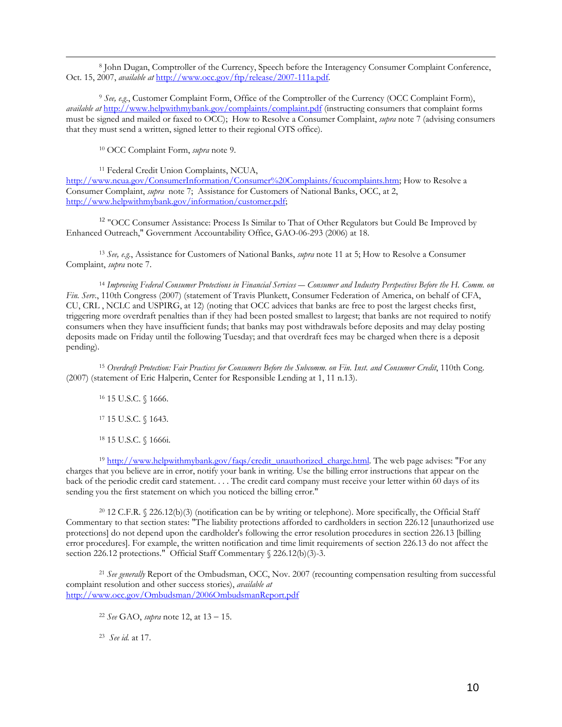8 John Dugan, Comptroller of the Currency, Speech before the Interagency Consumer Complaint Conference, Oct. 15, 2007, *available at* http://www.occ.gov/ftp/release/2007-111a.pdf.

<sup>9</sup> *See, e.g*., Customer Complaint Form, Office of the Comptroller of the Currency (OCC Complaint Form), *available at* http://www.helpwithmybank.gov/complaints/complaint.pdf (instructing consumers that complaint forms must be signed and mailed or faxed to OCC); How to Resolve a Consumer Complaint, *supra* note 7 (advising consumers that they must send a written, signed letter to their regional OTS office).

10 OCC Complaint Form, *supra* note 9.

 $\overline{a}$ 

11 Federal Credit Union Complaints, NCUA, http://www.ncua.gov/ConsumerInformation/Consumer%20Complaints/fcucomplaints.htm; How to Resolve a Consumer Complaint, *supra* note 7; Assistance for Customers of National Banks, OCC, at 2, http://www.helpwithmybank.gov/information/customer.pdf;

<sup>12</sup> "OCC Consumer Assistance: Process Is Similar to That of Other Regulators but Could Be Improved by Enhanced Outreach," Government Accountability Office, GAO-06-293 (2006) at 18.

<sup>13</sup> *See, e.g.*, Assistance for Customers of National Banks, *supra* note 11 at 5; How to Resolve a Consumer Complaint, *supra* note 7.

<sup>14</sup> *Improving Federal Consumer Protections in Financial Services ― Consumer and Industry Perspectives Before the H. Comm. on Fin. Serv.*, 110th Congress (2007) (statement of Travis Plunkett, Consumer Federation of America, on behalf of CFA, CU, CRL , NCLC and USPIRG, at 12) (noting that OCC advices that banks are free to post the largest checks first, triggering more overdraft penalties than if they had been posted smallest to largest; that banks are not required to notify consumers when they have insufficient funds; that banks may post withdrawals before deposits and may delay posting deposits made on Friday until the following Tuesday; and that overdraft fees may be charged when there is a deposit pending).

<sup>15</sup> *Overdraft Protection: Fair Practices for Consumers Before the Subcomm. on Fin. Inst. and Consumer Credit*, 110th Cong. (2007) (statement of Eric Halperin, Center for Responsible Lending at 1, 11 n.13).

16 15 U.S.C. § 1666.

17 15 U.S.C. § 1643.

18 15 U.S.C. § 1666i.

<sup>19</sup> http://www.helpwithmybank.gov/faqs/credit\_unauthorized\_charge.html. The web page advises: "For any charges that you believe are in error, notify your bank in writing. Use the billing error instructions that appear on the back of the periodic credit card statement. . . . The credit card company must receive your letter within 60 days of its sending you the first statement on which you noticed the billing error."

20 12 C.F.R. § 226.12(b)(3) (notification can be by writing or telephone). More specifically, the Official Staff Commentary to that section states: "The liability protections afforded to cardholders in section 226.12 [unauthorized use protections] do not depend upon the cardholder's following the error resolution procedures in section 226.13 [billing error procedures]. For example, the written notification and time limit requirements of section 226.13 do not affect the section 226.12 protections." Official Staff Commentary § 226.12(b)(3)-3.

<sup>21</sup> *See generally* Report of the Ombudsman, OCC, Nov. 2007 (recounting compensation resulting from successful complaint resolution and other success stories), *available at* http://www.occ.gov/Ombudsman/2006OmbudsmanReport.pdf

<sup>22</sup> *See* GAO, *supra* note 12, at 13 − 15.

23 *See id.* at 17.